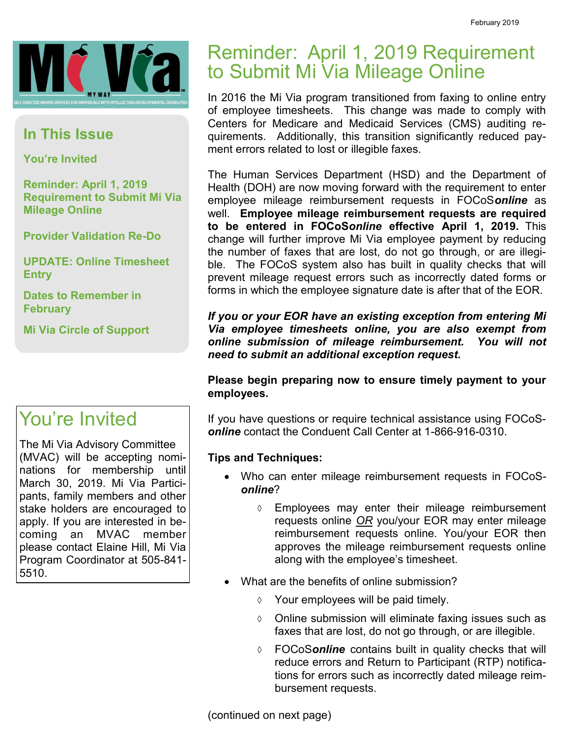

#### **In This Issue**

**You're Invited**

**Reminder: April 1, 2019 Requirement to Submit Mi Via Mileage Online**

**Provider Validation Re-Do**

**UPDATE: Online Timesheet Entry**

**Dates to Remember in February**

**Mi Via Circle of Support**

#### You're Invited

The Mi Via Advisory Committee (MVAC) will be accepting nominations for membership until March 30, 2019. Mi Via Participants, family members and other stake holders are encouraged to apply. If you are interested in becoming an MVAC member please contact Elaine Hill, Mi Via Program Coordinator at 505-841- 5510.

#### Reminder: April 1, 2019 Requirement to Submit Mi Via Mileage Online

In 2016 the Mi Via program transitioned from faxing to online entry of employee timesheets. This change was made to comply with Centers for Medicare and Medicaid Services (CMS) auditing requirements. Additionally, this transition significantly reduced payment errors related to lost or illegible faxes.

The Human Services Department (HSD) and the Department of Health (DOH) are now moving forward with the requirement to enter employee mileage reimbursement requests in FOCoS*online* as well. **Employee mileage reimbursement requests are required to be entered in FOCoS***online* **effective April 1, 2019.** This change will further improve Mi Via employee payment by reducing the number of faxes that are lost, do not go through, or are illegible. The FOCoS system also has built in quality checks that will prevent mileage request errors such as incorrectly dated forms or forms in which the employee signature date is after that of the EOR.

*If you or your EOR have an existing exception from entering Mi Via employee timesheets online, you are also exempt from online submission of mileage reimbursement. You will not need to submit an additional exception request.* 

**Please begin preparing now to ensure timely payment to your employees.**

If you have questions or require technical assistance using FOCoS*online* contact the Conduent Call Center at 1-866-916-0310.

#### **Tips and Techniques:**

- Who can enter mileage reimbursement requests in FOCoS*online*?
	- Employees may enter their mileage reimbursement requests online *OR* you/your EOR may enter mileage reimbursement requests online. You/your EOR then approves the mileage reimbursement requests online along with the employee's timesheet.
- What are the benefits of online submission?
	- $\Diamond$  Your employees will be paid timely.
	- $\lozenge$  Online submission will eliminate faxing issues such as faxes that are lost, do not go through, or are illegible.
	- FOCoS*online* contains built in quality checks that will reduce errors and Return to Participant (RTP) notifications for errors such as incorrectly dated mileage reimbursement requests.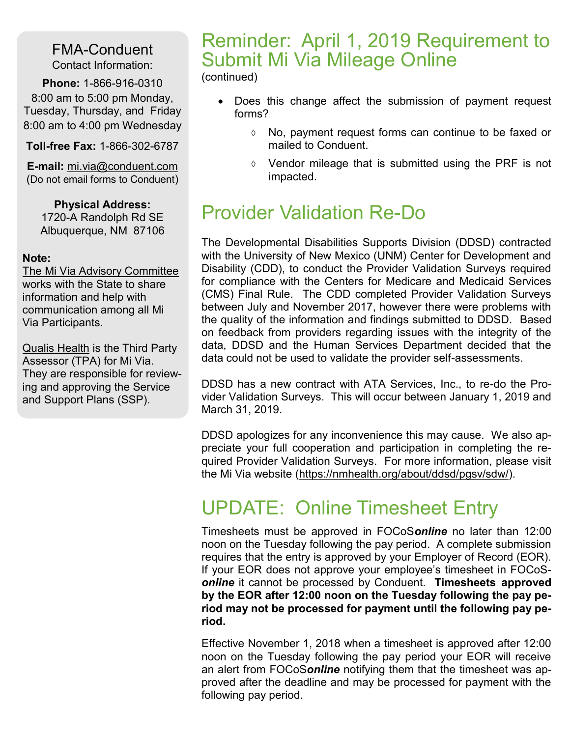FMA-Conduent Contact Information:

**Phone:** 1-866-916-0310 8:00 am to 5:00 pm Monday, Tuesday, Thursday, and Friday 8:00 am to 4:00 pm Wednesday

**Toll-free Fax:** 1-866-302-6787

**E-mail:** mi.via@conduent.com (Do not email forms to Conduent)

**Physical Address:** 1720-A Randolph Rd SE Albuquerque, NM 87106

#### **Note:**

The Mi Via Advisory Committee works with the State to share information and help with communication among all Mi Via Participants.

Qualis Health is the Third Party Assessor (TPA) for Mi Via. They are responsible for reviewing and approving the Service and Support Plans (SSP).

#### Reminder: April 1, 2019 Requirement to Submit Mi Via Mileage Online

(continued)

- Does this change affect the submission of payment request forms?
	- No, payment request forms can continue to be faxed or mailed to Conduent.
	- $\Diamond$  Vendor mileage that is submitted using the PRF is not impacted.

## Provider Validation Re-Do

The Developmental Disabilities Supports Division (DDSD) contracted with the University of New Mexico (UNM) Center for Development and Disability (CDD), to conduct the Provider Validation Surveys required for compliance with the Centers for Medicare and Medicaid Services (CMS) Final Rule. The CDD completed Provider Validation Surveys between July and November 2017, however there were problems with the quality of the information and findings submitted to DDSD. Based on feedback from providers regarding issues with the integrity of the data, DDSD and the Human Services Department decided that the data could not be used to validate the provider self-assessments.

DDSD has a new contract with ATA Services, Inc., to re-do the Provider Validation Surveys. This will occur between January 1, 2019 and March 31, 2019.

DDSD apologizes for any inconvenience this may cause. We also appreciate your full cooperation and participation in completing the required Provider Validation Surveys. For more information, please visit the Mi Via website [\(https://nmhealth.org/about/ddsd/pgsv/sdw/\).](https://na01.safelinks.protection.outlook.com/?url=https%3A%2F%2Fnmhealth.org%2Fabout%2Fddsd%2Fpgsv%2Fsdw%2F&data=02%7C01%7CDeanna.Rickerd%40conduent.com%7C45a4bc9c34bd4ad0c54208d67b117d9f%7C1aed4588b8ce43a8a775989538fd30d8%7C0%7C0%7C636831712384552177&sdata=)

### UPDATE: Online Timesheet Entry

Timesheets must be approved in FOCoS*online* no later than 12:00 noon on the Tuesday following the pay period. A complete submission requires that the entry is approved by your Employer of Record (EOR). If your EOR does not approve your employee's timesheet in FOCoS*online* it cannot be processed by Conduent. **Timesheets approved by the EOR after 12:00 noon on the Tuesday following the pay period may not be processed for payment until the following pay period.** 

Effective November 1, 2018 when a timesheet is approved after 12:00 noon on the Tuesday following the pay period your EOR will receive an alert from FOCoS*online* notifying them that the timesheet was approved after the deadline and may be processed for payment with the following pay period.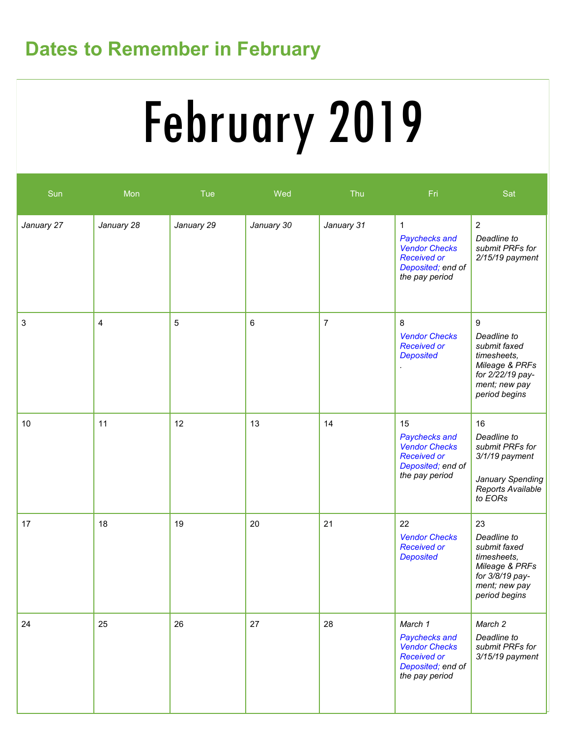# **Dates to Remember in February**

# February 2019

| Sun        | Mon        | <b>Tue</b> | Wed        | Thu            | Fri                                                                                                               | Sat                                                                                                                     |
|------------|------------|------------|------------|----------------|-------------------------------------------------------------------------------------------------------------------|-------------------------------------------------------------------------------------------------------------------------|
| January 27 | January 28 | January 29 | January 30 | January 31     | $\mathbf 1$<br>Paychecks and<br><b>Vendor Checks</b><br><b>Received or</b><br>Deposited; end of<br>the pay period | $\overline{2}$<br>Deadline to<br>submit PRFs for<br>2/15/19 payment                                                     |
| 3          | 4          | 5          | $\,6$      | $\overline{7}$ | 8<br><b>Vendor Checks</b><br><b>Received or</b><br><b>Deposited</b>                                               | 9<br>Deadline to<br>submit faxed<br>timesheets,<br>Mileage & PRFs<br>for 2/22/19 pay-<br>ment; new pay<br>period begins |
| $10$       | 11         | 12         | 13         | 14             | 15<br>Paychecks and<br><b>Vendor Checks</b><br><b>Received or</b><br>Deposited; end of<br>the pay period          | 16<br>Deadline to<br>submit PRFs for<br>3/1/19 payment<br>January Spending<br>Reports Available<br>to EORs              |
| 17         | 18         | 19         | 20         | 21             | 22<br><b>Vendor Checks</b><br><b>Received or</b><br><b>Deposited</b>                                              | 23<br>Deadline to<br>submit faxed<br>timesheets,<br>Mileage & PRFs<br>for 3/8/19 pay-<br>ment; new pay<br>period begins |
| 24         | 25         | 26         | 27         | 28             | March 1<br>Paychecks and<br><b>Vendor Checks</b><br><b>Received or</b><br>Deposited; end of<br>the pay period     | March 2<br>Deadline to<br>submit PRFs for<br>3/15/19 payment                                                            |